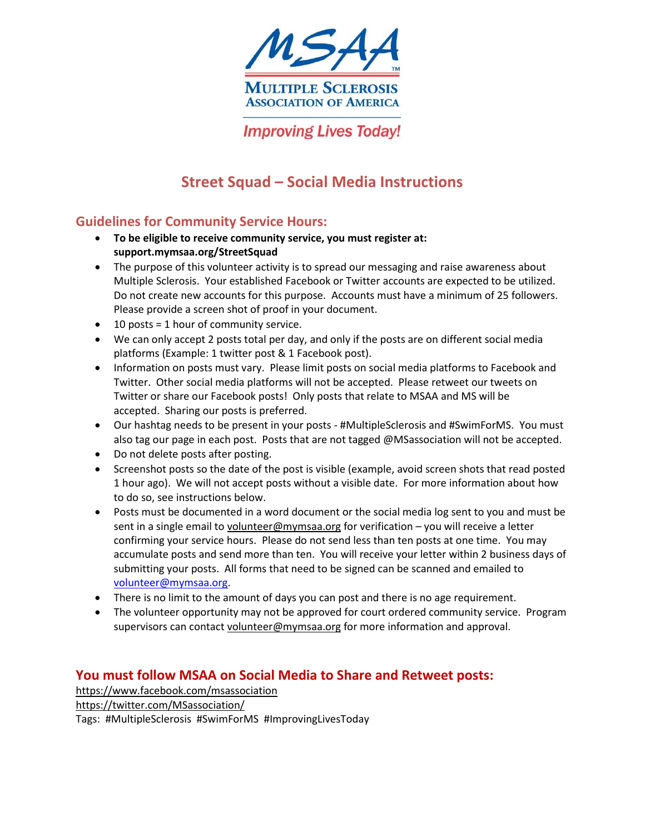

**Improving Lives Today!** 

# **Street Squad – Social Media Instructions**

### **Guidelines for Community Service Hours:**

- **To be eligible to receive community service, you must register at: support.mymsaa.org/StreetSquad**
- The purpose of this volunteer activity is to spread our messaging and raise awareness about Multiple Sclerosis. Your established Facebook or Twitter accounts are expected to be utilized. Do not create new accounts for this purpose. Accounts must have a minimum of 25 followers. Please provide a screen shot of proof in your document.
- $\bullet$  10 posts = 1 hour of community service.
- We can only accept 2 posts total per day, and only if the posts are on different social media platforms (Example: 1 twitter post & 1 Facebook post).
- Information on posts must vary. Please limit posts on social media platforms to Facebook and Twitter. Other social media platforms will not be accepted. Please retweet our tweets on Twitter or share our Facebook posts! Only posts that relate to MSAA and MS will be accepted. Sharing our posts is preferred.
- Our hashtag needs to be present in your posts #MultipleSclerosis and #SwimForMS. You must also tag our page in each post. Posts that are not tagged @MSassociation will not be accepted.
- Do not delete posts after posting.
- Screenshot posts so the date of the post is visible (example, avoid screen shots that read posted 1 hour ago). We will not accept posts without a visible date. For more information about how to do so, see instructions below.
- Posts must be documented in a word document or the social media log sent to you and must be sent in a single email t[o volunteer@mymsaa.org](mailto:volunteer@mymsaa.org) for verification – you will receive a letter confirming your service hours. Please do not send less than ten posts at one time. You may accumulate posts and send more than ten. You will receive your letter within 2 business days of submitting your posts. All forms that need to be signed can be scanned and emailed to [volunteer@mymsaa.org.](mailto:volunteer@mymsaa.org)
- There is no limit to the amount of days you can post and there is no age requirement.
- The volunteer opportunity may not be approved for court ordered community service. Program supervisors can contac[t volunteer@mymsaa.org](mailto:volunteer@mymsaa.org) for more information and approval.

#### **You must follow MSAA on Social Media to Share and Retweet posts:**

<https://www.facebook.com/msassociation> <https://twitter.com/MSassociation/> Tags: #MultipleSclerosis #SwimForMS #ImprovingLivesToday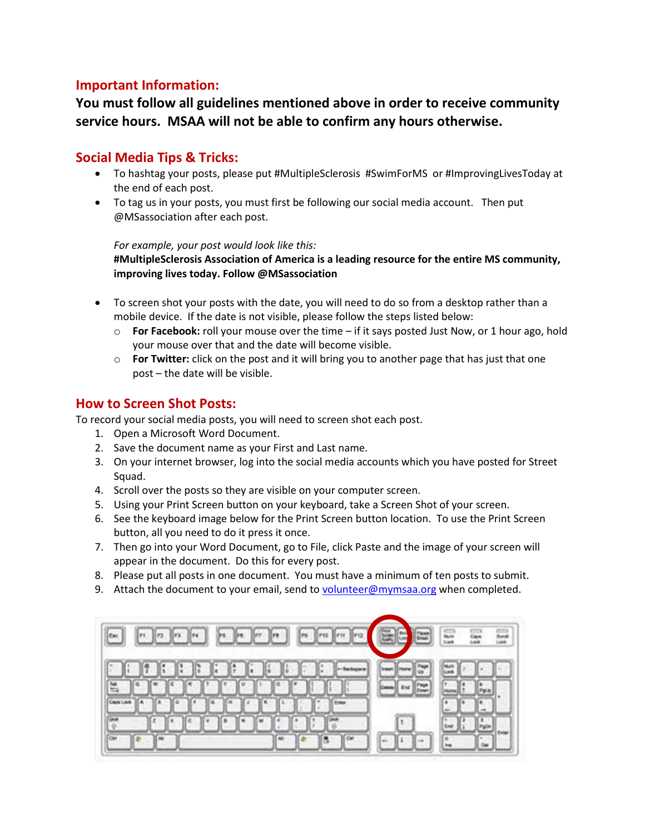### **Important Information:**

## **You must follow all guidelines mentioned above in order to receive community service hours. MSAA will not be able to confirm any hours otherwise.**

#### **Social Media Tips & Tricks:**

- To hashtag your posts, please put #MultipleSclerosis #SwimForMS or #ImprovingLivesToday at the end of each post.
- To tag us in your posts, you must first be following our social media account. Then put @MSassociation after each post.

#### *For example, your post would look like this:*

**#MultipleSclerosis Association of America is a leading resource for the entire MS community, improving lives today. Follow @MSassociation**

- To screen shot your posts with the date, you will need to do so from a desktop rather than a mobile device. If the date is not visible, please follow the steps listed below:
	- o **For Facebook:** roll your mouse over the time if it says posted Just Now, or 1 hour ago, hold your mouse over that and the date will become visible.
	- o **For Twitter:** click on the post and it will bring you to another page that has just that one post – the date will be visible.

#### **How to Screen Shot Posts:**

To record your social media posts, you will need to screen shot each post.

- 1. Open a Microsoft Word Document.
- 2. Save the document name as your First and Last name.
- 3. On your internet browser, log into the social media accounts which you have posted for Street Squad.
- 4. Scroll over the posts so they are visible on your computer screen.
- 5. Using your Print Screen button on your keyboard, take a Screen Shot of your screen.
- 6. See the keyboard image below for the Print Screen button location. To use the Print Screen button, all you need to do it press it once.
- 7. Then go into your Word Document, go to File, click Paste and the image of your screen will appear in the document. Do this for every post.
- 8. Please put all posts in one document. You must have a minimum of ten posts to submit.
- 9. Attach the document to your email, send to [volunteer@mymsaa.org](mailto:volunteer@mymsaa.org) when completed.